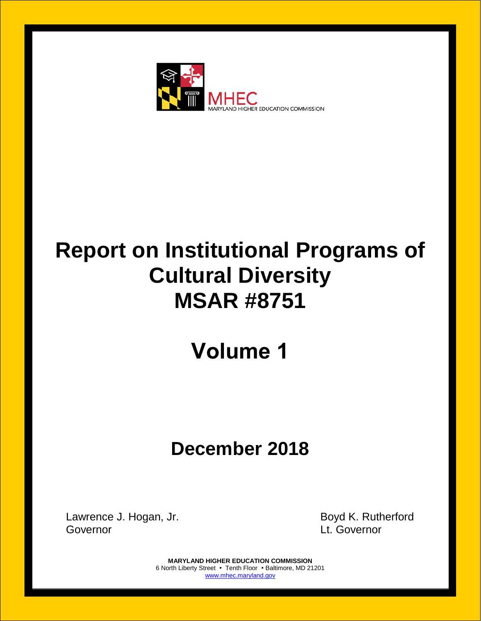

# **Report on Institutional Programs of Cultural Diversity MSAR #8751**

## **Volume 1**

## **December 2018**

Lawrence J. Hogan, Jr. **Boyd K. Rutherford** Governor Lt. Governor

**MARYLAND HIGHER EDUCATION COMMISSION** 6 North Liberty Street • Tenth Floor • Baltimore, MD 21201 [www.mhec.maryland.gov](http://www.mhec.maryland.gov/)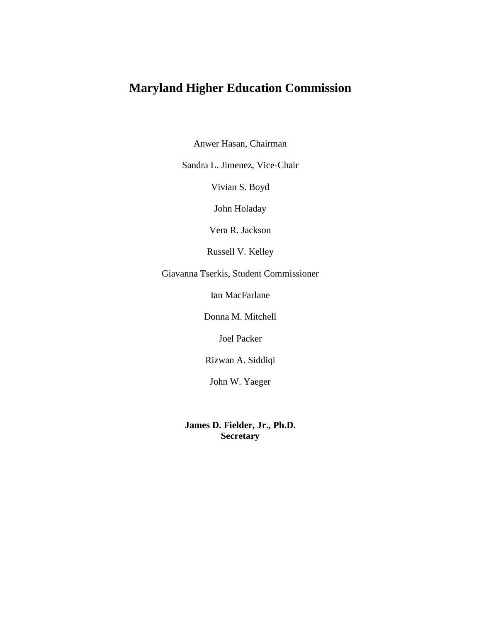## **Maryland Higher Education Commission**

Anwer Hasan, Chairman

Sandra L. Jimenez, Vice-Chair

Vivian S. Boyd

John Holaday

Vera R. Jackson

Russell V. Kelley

Giavanna Tserkis, Student Commissioner

Ian MacFarlane

Donna M. Mitchell

Joel Packer

Rizwan A. Siddiqi

John W. Yaeger

**James D. Fielder, Jr., Ph.D. Secretary**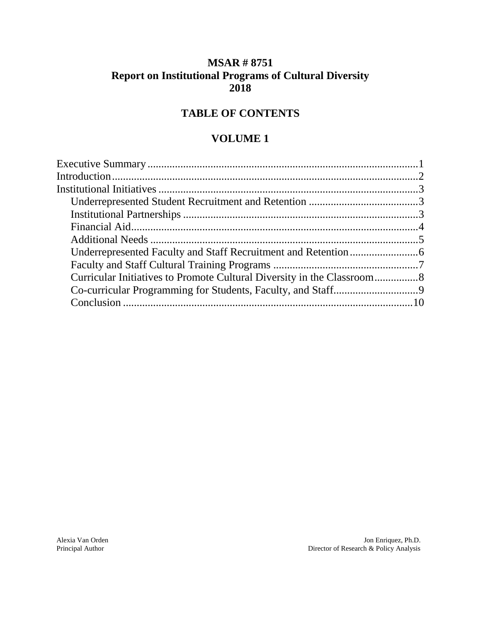### **MSAR # 8751 Report on Institutional Programs of Cultural Diversity 2018**

## **TABLE OF CONTENTS**

#### **VOLUME 1**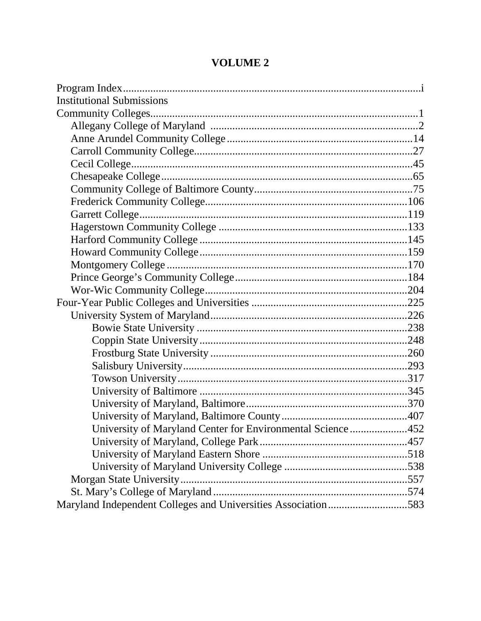| <b>Institutional Submissions</b>                              |  |
|---------------------------------------------------------------|--|
|                                                               |  |
|                                                               |  |
|                                                               |  |
|                                                               |  |
|                                                               |  |
|                                                               |  |
|                                                               |  |
|                                                               |  |
|                                                               |  |
|                                                               |  |
|                                                               |  |
|                                                               |  |
|                                                               |  |
|                                                               |  |
|                                                               |  |
|                                                               |  |
|                                                               |  |
|                                                               |  |
|                                                               |  |
|                                                               |  |
|                                                               |  |
|                                                               |  |
|                                                               |  |
|                                                               |  |
|                                                               |  |
| University of Maryland Center for Environmental Science452    |  |
|                                                               |  |
|                                                               |  |
|                                                               |  |
|                                                               |  |
|                                                               |  |
| Maryland Independent Colleges and Universities Association583 |  |
|                                                               |  |

## **VOLUME 2**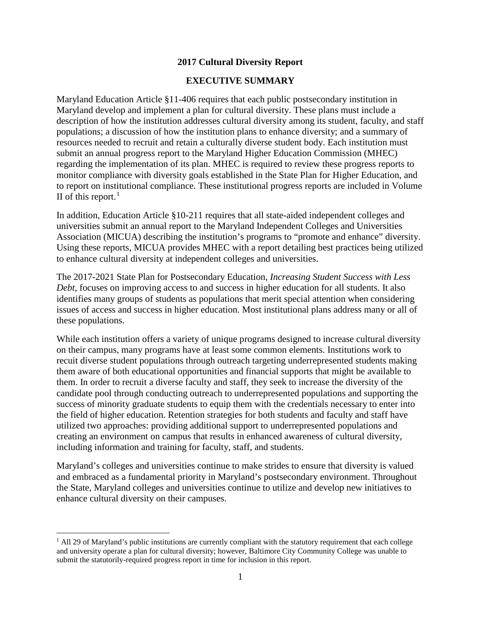#### **2017 Cultural Diversity Report**

#### **EXECUTIVE SUMMARY**

Maryland Education Article §11-406 requires that each public postsecondary institution in Maryland develop and implement a plan for cultural diversity. These plans must include a description of how the institution addresses cultural diversity among its student, faculty, and staff populations; a discussion of how the institution plans to enhance diversity; and a summary of resources needed to recruit and retain a culturally diverse student body. Each institution must submit an annual progress report to the Maryland Higher Education Commission (MHEC) regarding the implementation of its plan. MHEC is required to review these progress reports to monitor compliance with diversity goals established in the State Plan for Higher Education, and to report on institutional compliance. These institutional progress reports are included in Volume II of this report.<sup>[1](#page-4-0)</sup>

In addition, Education Article §10-211 requires that all state-aided independent colleges and universities submit an annual report to the Maryland Independent Colleges and Universities Association (MICUA) describing the institution's programs to "promote and enhance" diversity. Using these reports, MICUA provides MHEC with a report detailing best practices being utilized to enhance cultural diversity at independent colleges and universities.

The 2017-2021 State Plan for Postsecondary Education, *Increasing Student Success with Less Debt*, focuses on improving access to and success in higher education for all students. It also identifies many groups of students as populations that merit special attention when considering issues of access and success in higher education. Most institutional plans address many or all of these populations.

While each institution offers a variety of unique programs designed to increase cultural diversity on their campus, many programs have at least some common elements. Institutions work to recuit diverse student populations through outreach targeting underrepresented students making them aware of both educational opportunities and financial supports that might be available to them. In order to recruit a diverse faculty and staff, they seek to increase the diversity of the candidate pool through conducting outreach to underrepresented populations and supporting the success of minority graduate students to equip them with the credentials necessary to enter into the field of higher education. Retention strategies for both students and faculty and staff have utilized two approaches: providing additional support to underrepresented populations and creating an environment on campus that results in enhanced awareness of cultural diversity, including information and training for faculty, staff, and students.

Maryland's colleges and universities continue to make strides to ensure that diversity is valued and embraced as a fundamental priority in Maryland's postsecondary environment. Throughout the State, Maryland colleges and universities continue to utilize and develop new initiatives to enhance cultural diversity on their campuses.

<span id="page-4-0"></span> $<sup>1</sup>$  All 29 of Maryland's public institutions are currently compliant with the statutory requirement that each college</sup> and university operate a plan for cultural diversity; however, Baltimore City Community College was unable to submit the statutorily-required progress report in time for inclusion in this report.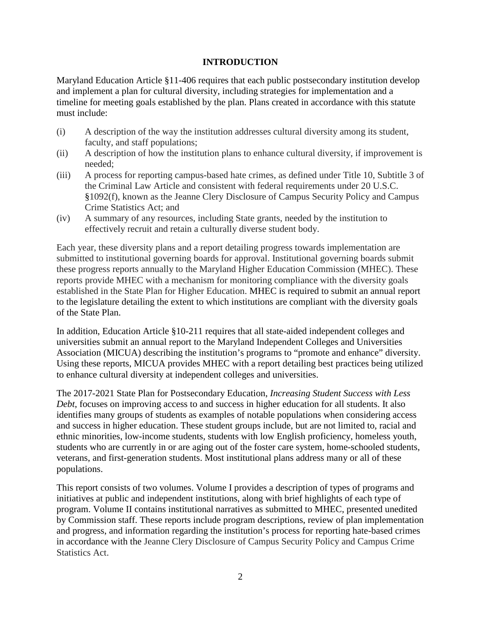#### **INTRODUCTION**

Maryland Education Article §11-406 requires that each public postsecondary institution develop and implement a plan for cultural diversity, including strategies for implementation and a timeline for meeting goals established by the plan. Plans created in accordance with this statute must include:

- (i) A description of the way the institution addresses cultural diversity among its student, faculty, and staff populations;
- (ii) A description of how the institution plans to enhance cultural diversity, if improvement is needed;
- (iii) A process for reporting campus-based hate crimes, as defined under Title 10, Subtitle 3 of the Criminal Law Article and consistent with federal requirements under 20 U.S.C. §1092(f), known as the Jeanne Clery Disclosure of Campus Security Policy and Campus Crime Statistics Act; and
- (iv) A summary of any resources, including State grants, needed by the institution to effectively recruit and retain a culturally diverse student body.

Each year, these diversity plans and a report detailing progress towards implementation are submitted to institutional governing boards for approval. Institutional governing boards submit these progress reports annually to the Maryland Higher Education Commission (MHEC). These reports provide MHEC with a mechanism for monitoring compliance with the diversity goals established in the State Plan for Higher Education. MHEC is required to submit an annual report to the legislature detailing the extent to which institutions are compliant with the diversity goals of the State Plan.

In addition, Education Article §10-211 requires that all state-aided independent colleges and universities submit an annual report to the Maryland Independent Colleges and Universities Association (MICUA) describing the institution's programs to "promote and enhance" diversity. Using these reports, MICUA provides MHEC with a report detailing best practices being utilized to enhance cultural diversity at independent colleges and universities.

The 2017-2021 State Plan for Postsecondary Education, *Increasing Student Success with Less Debt*, focuses on improving access to and success in higher education for all students. It also identifies many groups of students as examples of notable populations when considering access and success in higher education. These student groups include, but are not limited to, racial and ethnic minorities, low-income students, students with low English proficiency, homeless youth, students who are currently in or are aging out of the foster care system, home-schooled students, veterans, and first-generation students. Most institutional plans address many or all of these populations.

This report consists of two volumes. Volume I provides a description of types of programs and initiatives at public and independent institutions, along with brief highlights of each type of program. Volume II contains institutional narratives as submitted to MHEC, presented unedited by Commission staff. These reports include program descriptions, review of plan implementation and progress, and information regarding the institution's process for reporting hate-based crimes in accordance with the Jeanne Clery Disclosure of Campus Security Policy and Campus Crime Statistics Act.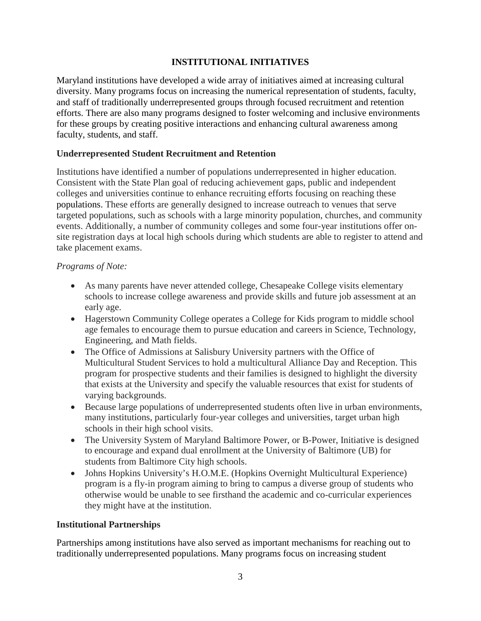#### **INSTITUTIONAL INITIATIVES**

Maryland institutions have developed a wide array of initiatives aimed at increasing cultural diversity. Many programs focus on increasing the numerical representation of students, faculty, and staff of traditionally underrepresented groups through focused recruitment and retention efforts. There are also many programs designed to foster welcoming and inclusive environments for these groups by creating positive interactions and enhancing cultural awareness among faculty, students, and staff.

#### **Underrepresented Student Recruitment and Retention**

Institutions have identified a number of populations underrepresented in higher education. Consistent with the State Plan goal of reducing achievement gaps, public and independent colleges and universities continue to enhance recruiting efforts focusing on reaching these populations. These efforts are generally designed to increase outreach to venues that serve targeted populations, such as schools with a large minority population, churches, and community events. Additionally, a number of community colleges and some four-year institutions offer onsite registration days at local high schools during which students are able to register to attend and take placement exams.

#### *Programs of Note:*

- As many parents have never attended college, Chesapeake College visits elementary schools to increase college awareness and provide skills and future job assessment at an early age.
- Hagerstown Community College operates a College for Kids program to middle school age females to encourage them to pursue education and careers in Science, Technology, Engineering, and Math fields.
- The Office of Admissions at Salisbury University partners with the Office of Multicultural Student Services to hold a multicultural Alliance Day and Reception. This program for prospective students and their families is designed to highlight the diversity that exists at the University and specify the valuable resources that exist for students of varying backgrounds.
- Because large populations of underrepresented students often live in urban environments, many institutions, particularly four-year colleges and universities, target urban high schools in their high school visits.
- The University System of Maryland Baltimore Power, or B-Power, Initiative is designed to encourage and expand dual enrollment at the University of Baltimore (UB) for students from Baltimore City high schools.
- Johns Hopkins University's H.O.M.E. (Hopkins Overnight Multicultural Experience) program is a fly-in program aiming to bring to campus a diverse group of students who otherwise would be unable to see firsthand the academic and co-curricular experiences they might have at the institution.

#### **Institutional Partnerships**

Partnerships among institutions have also served as important mechanisms for reaching out to traditionally underrepresented populations. Many programs focus on increasing student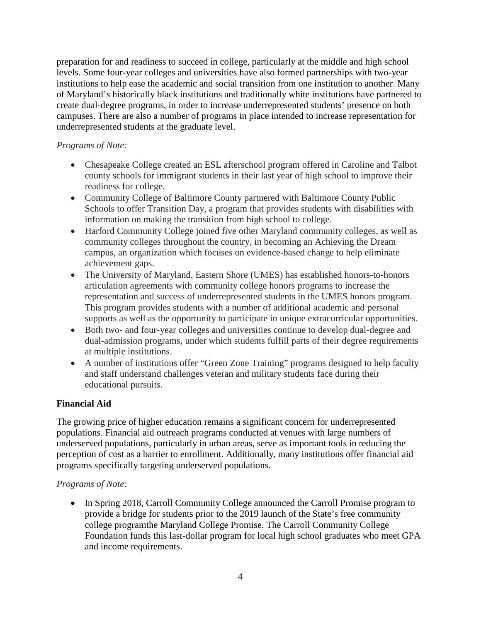preparation for and readiness to succeed in college, particularly at the middle and high school levels. Some four-year colleges and universities have also formed partnerships with two-year institutions to help ease the academic and social transition from one institution to another. Many of Maryland's historically black institutions and traditionally white institutions have partnered to create dual-degree programs, in order to increase underrepresented students' presence on both campuses. There are also a number of programs in place intended to increase representation for underrepresented students at the graduate level.

#### *Programs of Note:*

- Chesapeake College created an ESL afterschool program offered in Caroline and Talbot county schools for immigrant students in their last year of high school to improve their readiness for college.
- Community College of Baltimore County partnered with Baltimore County Public Schools to offer Transition Day, a program that provides students with disabilities with information on making the transition from high school to college.
- Harford Community College joined five other Maryland community colleges, as well as community colleges throughout the country, in becoming an Achieving the Dream campus, an organization which focuses on evidence-based change to help eliminate achievement gaps.
- The University of Maryland, Eastern Shore (UMES) has established honors-to-honors articulation agreements with community college honors programs to increase the representation and success of underrepresented students in the UMES honors program. This program provides students with a number of additional academic and personal supports as well as the opportunity to participate in unique extracurricular opportunities.
- Both two- and four-year colleges and universities continue to develop dual-degree and dual-admission programs, under which students fulfill parts of their degree requirements at multiple institutions.
- A number of institutions offer "Green Zone Training" programs designed to help faculty and staff understand challenges veteran and military students face during their educational pursuits.

#### **Financial Aid**

The growing price of higher education remains a significant concern for underrepresented populations. Financial aid outreach programs conducted at venues with large numbers of underserved populations, particularly in urban areas, serve as important tools in reducing the perception of cost as a barrier to enrollment. Additionally, many institutions offer financial aid programs specifically targeting underserved populations.

#### *Programs of Note:*

• In Spring 2018, Carroll Community College announced the Carroll Promise program to provide a bridge for students prior to the 2019 launch of the State's free community college programthe Maryland College Promise. The Carroll Community College Foundation funds this last-dollar program for local high school graduates who meet GPA and income requirements.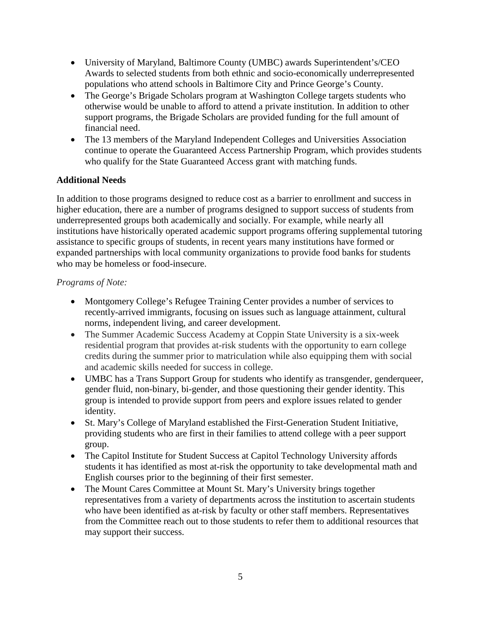- University of Maryland, Baltimore County (UMBC) awards Superintendent's/CEO Awards to selected students from both ethnic and socio-economically underrepresented populations who attend schools in Baltimore City and Prince George's County.
- The George's Brigade Scholars program at Washington College targets students who otherwise would be unable to afford to attend a private institution. In addition to other support programs, the Brigade Scholars are provided funding for the full amount of financial need.
- The 13 members of the Maryland Independent Colleges and Universities Association continue to operate the Guaranteed Access Partnership Program, which provides students who qualify for the State Guaranteed Access grant with matching funds.

#### **Additional Needs**

In addition to those programs designed to reduce cost as a barrier to enrollment and success in higher education, there are a number of programs designed to support success of students from underrepresented groups both academically and socially. For example, while nearly all institutions have historically operated academic support programs offering supplemental tutoring assistance to specific groups of students, in recent years many institutions have formed or expanded partnerships with local community organizations to provide food banks for students who may be homeless or food-insecure.

#### *Programs of Note:*

- Montgomery College's Refugee Training Center provides a number of services to recently-arrived immigrants, focusing on issues such as language attainment, cultural norms, independent living, and career development.
- The Summer Academic Success Academy at Coppin State University is a six-week residential program that provides at-risk students with the opportunity to earn college credits during the summer prior to matriculation while also equipping them with social and academic skills needed for success in college.
- UMBC has a Trans Support Group for students who identify as transgender, genderqueer, gender fluid, non-binary, bi-gender, and those questioning their gender identity. This group is intended to provide support from peers and explore issues related to gender identity.
- St. Mary's College of Maryland established the First-Generation Student Initiative, providing students who are first in their families to attend college with a peer support group.
- The Capitol Institute for Student Success at Capitol Technology University affords students it has identified as most at-risk the opportunity to take developmental math and English courses prior to the beginning of their first semester.
- The Mount Cares Committee at Mount St. Mary's University brings together representatives from a variety of departments across the institution to ascertain students who have been identified as at-risk by faculty or other staff members. Representatives from the Committee reach out to those students to refer them to additional resources that may support their success.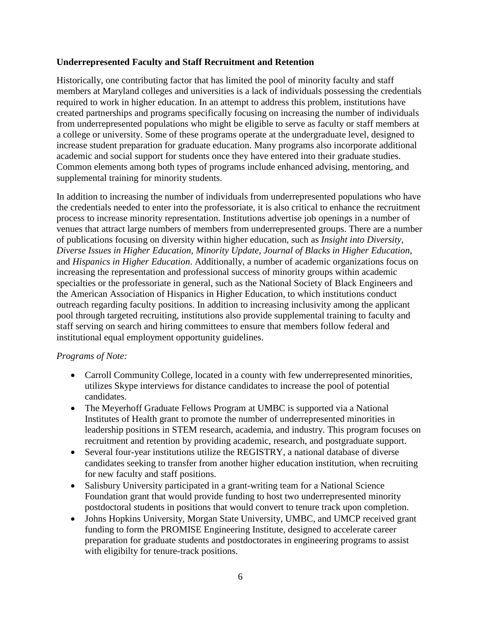#### **Underrepresented Faculty and Staff Recruitment and Retention**

Historically, one contributing factor that has limited the pool of minority faculty and staff members at Maryland colleges and universities is a lack of individuals possessing the credentials required to work in higher education. In an attempt to address this problem, institutions have created partnerships and programs specifically focusing on increasing the number of individuals from underrepresented populations who might be eligible to serve as faculty or staff members at a college or university. Some of these programs operate at the undergraduate level, designed to increase student preparation for graduate education. Many programs also incorporate additional academic and social support for students once they have entered into their graduate studies. Common elements among both types of programs include enhanced advising, mentoring, and supplemental training for minority students.

In addition to increasing the number of individuals from underrepresented populations who have the credentials needed to enter into the professoriate, it is also critical to enhance the recruitment process to increase minority representation. Institutions advertise job openings in a number of venues that attract large numbers of members from underrepresented groups. There are a number of publications focusing on diversity within higher education, such as *Insight into Diversity*, *Diverse Issues in Higher Education*, *Minority Update*, *Journal of Blacks in Higher Education*, and *Hispanics in Higher Education*. Additionally, a number of academic organizations focus on increasing the representation and professional success of minority groups within academic specialties or the professoriate in general, such as the National Society of Black Engineers and the American Association of Hispanics in Higher Education, to which institutions conduct outreach regarding faculty positions. In addition to increasing inclusivity among the applicant pool through targeted recruiting, institutions also provide supplemental training to faculty and staff serving on search and hiring committees to ensure that members follow federal and institutional equal employment opportunity guidelines.

#### *Programs of Note:*

- Carroll Community College, located in a county with few underrepresented minorities, utilizes Skype interviews for distance candidates to increase the pool of potential candidates.
- The Meyerhoff Graduate Fellows Program at UMBC is supported via a National Institutes of Health grant to promote the number of underrepresented minorities in leadership positions in STEM research, academia, and industry. This program focuses on recruitment and retention by providing academic, research, and postgraduate support.
- Several four-year institutions utilize the REGISTRY, a national database of diverse candidates seeking to transfer from another higher education institution, when recruiting for new faculty and staff positions.
- Salisbury University participated in a grant-writing team for a National Science Foundation grant that would provide funding to host two underrepresented minority postdoctoral students in positions that would convert to tenure track upon completion.
- Johns Hopkins University, Morgan State University, UMBC, and UMCP received grant funding to form the PROMISE Engineering Institute, designed to accelerate career preparation for graduate students and postdoctorates in engineering programs to assist with eligibilty for tenure-track positions.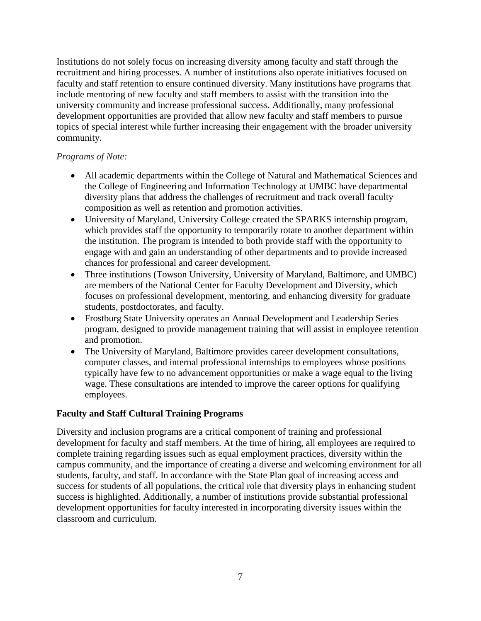Institutions do not solely focus on increasing diversity among faculty and staff through the recruitment and hiring processes. A number of institutions also operate initiatives focused on faculty and staff retention to ensure continued diversity. Many institutions have programs that include mentoring of new faculty and staff members to assist with the transition into the university community and increase professional success. Additionally, many professional development opportunities are provided that allow new faculty and staff members to pursue topics of special interest while further increasing their engagement with the broader university community.

#### *Programs of Note:*

- All academic departments within the College of Natural and Mathematical Sciences and the College of Engineering and Information Technology at UMBC have departmental diversity plans that address the challenges of recruitment and track overall faculty composition as well as retention and promotion activities.
- University of Maryland, University College created the SPARKS internship program, which provides staff the opportunity to temporarily rotate to another department within the institution. The program is intended to both provide staff with the opportunity to engage with and gain an understanding of other departments and to provide increased chances for professional and career development.
- Three institutions (Towson University, University of Maryland, Baltimore, and UMBC) are members of the National Center for Faculty Development and Diversity, which focuses on professional development, mentoring, and enhancing diversity for graduate students, postdoctorates, and faculty.
- Frostburg State University operates an Annual Development and Leadership Series program, designed to provide management training that will assist in employee retention and promotion.
- The University of Maryland, Baltimore provides career development consultations, computer classes, and internal professional internships to employees whose positions typically have few to no advancement opportunities or make a wage equal to the living wage. These consultations are intended to improve the career options for qualifying employees.

#### **Faculty and Staff Cultural Training Programs**

Diversity and inclusion programs are a critical component of training and professional development for faculty and staff members. At the time of hiring, all employees are required to complete training regarding issues such as equal employment practices, diversity within the campus community, and the importance of creating a diverse and welcoming environment for all students, faculty, and staff. In accordance with the State Plan goal of increasing access and success for students of all populations, the critical role that diversity plays in enhancing student success is highlighted. Additionally, a number of institutions provide substantial professional development opportunities for faculty interested in incorporating diversity issues within the classroom and curriculum.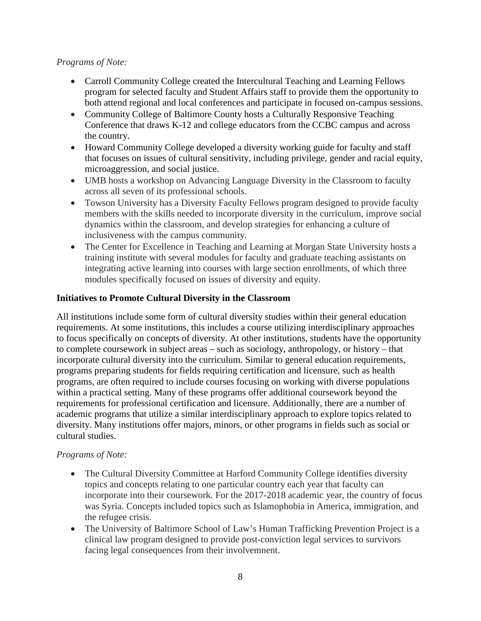#### *Programs of Note:*

- Carroll Community College created the Intercultural Teaching and Learning Fellows program for selected faculty and Student Affairs staff to provide them the opportunity to both attend regional and local conferences and participate in focused on-campus sessions.
- Community College of Baltimore County hosts a Culturally Responsive Teaching Conference that draws K-12 and college educators from the CCBC campus and across the country.
- Howard Community College developed a diversity working guide for faculty and staff that focuses on issues of cultural sensitivity, including privilege, gender and racial equity, microaggression, and social justice.
- UMB hosts a workshop on Advancing Language Diversity in the Classroom to faculty across all seven of its professional schools.
- Towson University has a Diversity Faculty Fellows program designed to provide faculty members with the skills needed to incorporate diversity in the curriculum, improve social dynamics within the classroom, and develop strategies for enhancing a culture of inclusiveness with the campus community.
- The Center for Excellence in Teaching and Learning at Morgan State University hosts a training institute with several modules for faculty and graduate teaching assistants on integrating active learning into courses with large section enrollments, of which three modules specifically focused on issues of diversity and equity.

#### **Initiatives to Promote Cultural Diversity in the Classroom**

All institutions include some form of cultural diversity studies within their general education requirements. At some institutions, this includes a course utilizing interdisciplinary approaches to focus specifically on concepts of diversity. At other institutions, students have the opportunity to complete coursework in subject areas – such as sociology, anthropology, or history – that incorporate cultural diversity into the curriculum. Similar to general education requirements, programs preparing students for fields requiring certification and licensure, such as health programs, are often required to include courses focusing on working with diverse populations within a practical setting. Many of these programs offer additional coursework beyond the requirements for professional certification and licensure. Additionally, there are a number of academic programs that utilize a similar interdisciplinary approach to explore topics related to diversity. Many institutions offer majors, minors, or other programs in fields such as social or cultural studies.

#### *Programs of Note:*

- The Cultural Diversity Committee at Harford Community College identifies diversity topics and concepts relating to one particular country each year that faculty can incorporate into their coursework. For the 2017-2018 academic year, the country of focus was Syria. Concepts included topics such as Islamophobia in America, immigration, and the refugee crisis.
- The University of Baltimore School of Law's Human Trafficking Prevention Project is a clinical law program designed to provide post-conviction legal services to survivors facing legal consequences from their involvemnent.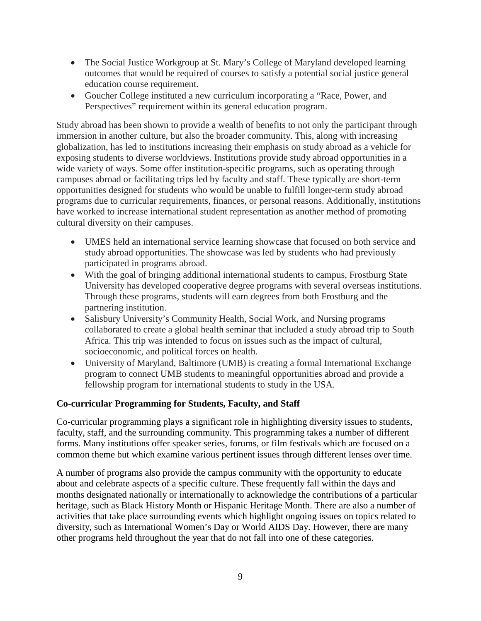- The Social Justice Workgroup at St. Mary's College of Maryland developed learning outcomes that would be required of courses to satisfy a potential social justice general education course requirement.
- Goucher College instituted a new curriculum incorporating a "Race, Power, and Perspectives" requirement within its general education program.

Study abroad has been shown to provide a wealth of benefits to not only the participant through immersion in another culture, but also the broader community. This, along with increasing globalization, has led to institutions increasing their emphasis on study abroad as a vehicle for exposing students to diverse worldviews. Institutions provide study abroad opportunities in a wide variety of ways. Some offer institution-specific programs, such as operating through campuses abroad or facilitating trips led by faculty and staff. These typically are short-term opportunities designed for students who would be unable to fulfill longer-term study abroad programs due to curricular requirements, finances, or personal reasons. Additionally, institutions have worked to increase international student representation as another method of promoting cultural diversity on their campuses.

- UMES held an international service learning showcase that focused on both service and study abroad opportunities. The showcase was led by students who had previously participated in programs abroad.
- With the goal of bringing additional international students to campus, Frostburg State University has developed cooperative degree programs with several overseas institutions. Through these programs, students will earn degrees from both Frostburg and the partnering institution.
- Salisbury University's Community Health, Social Work, and Nursing programs collaborated to create a global health seminar that included a study abroad trip to South Africa. This trip was intended to focus on issues such as the impact of cultural, socioeconomic, and political forces on health.
- University of Maryland, Baltimore (UMB) is creating a formal International Exchange program to connect UMB students to meaningful opportunities abroad and provide a fellowship program for international students to study in the USA.

#### **Co-curricular Programming for Students, Faculty, and Staff**

Co-curricular programming plays a significant role in highlighting diversity issues to students, faculty, staff, and the surrounding community. This programming takes a number of different forms. Many institutions offer speaker series, forums, or film festivals which are focused on a common theme but which examine various pertinent issues through different lenses over time.

A number of programs also provide the campus community with the opportunity to educate about and celebrate aspects of a specific culture. These frequently fall within the days and months designated nationally or internationally to acknowledge the contributions of a particular heritage, such as Black History Month or Hispanic Heritage Month. There are also a number of activities that take place surrounding events which highlight ongoing issues on topics related to diversity, such as International Women's Day or World AIDS Day. However, there are many other programs held throughout the year that do not fall into one of these categories.